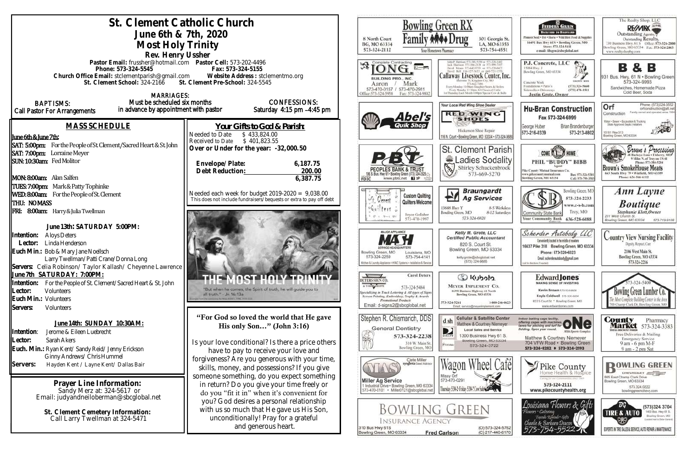| St. Clement Catholic Church<br>June 6th & 7th, 2020<br>Most Holy Trinity<br>Rev. Henry Ussher                                                                                                                                              |                                                                                                                                                                                                                                                                                     | <b>Bowling Green RX</b><br>301 Georgia St.<br>8 North Court<br>BG, MO 63334<br>LA, MO 63353<br>573-324-2112<br>573-754-4551<br>four Hometown Pharmacy                                                                                                            |                                                                                                                                                                                                                                                                |
|--------------------------------------------------------------------------------------------------------------------------------------------------------------------------------------------------------------------------------------------|-------------------------------------------------------------------------------------------------------------------------------------------------------------------------------------------------------------------------------------------------------------------------------------|------------------------------------------------------------------------------------------------------------------------------------------------------------------------------------------------------------------------------------------------------------------|----------------------------------------------------------------------------------------------------------------------------------------------------------------------------------------------------------------------------------------------------------------|
| Pastor Email: frussher@hotmail.com    Pastor Cell: 573-202-4496<br>Phone: 573-324-5545<br>Church Office Email: stclementparish@gmail.com<br>St. Clement School: 324-2166 St. Clement Pre-School: 324-5545<br><b>MARRIAGES:</b>             | Fax: 573-324-5155<br>Website Address: stclementmo.org                                                                                                                                                                                                                               | <b>AION</b><br>$u \rightarrow$<br>houd Bell 816-537-5633 or 660-721-1<br>BUILDING PRO., INC.<br>Mark<br>Aaron<br>573-470-0157 / 573-470-2911<br>Hiice:573-324-5958<br>Fax: 573-324-9802                                                                          | David Mean: 373-642-9753 or 573-226-647.<br>Callaway Livestock Center, Inc<br>mane 70, Kiaustion City, MO<br>Every Monday 10:00am Stagpher Steers & Heilen<br>Every Monday 12:30pts All Classes of Cattle<br>1st Thursday Each Month 6:00pm Special Cow & Bull |
| Must be scheduled six months<br><b>BAPTISMS:</b><br>in advance by appointment with pastor<br>Call Pastor For Arrangements                                                                                                                  | <b>CONFESSIONS:</b><br>Saturday 4:15 pm -4:45 pm                                                                                                                                                                                                                                    | Your Local Red Wing Shoe Dealer<br>Abel's                                                                                                                                                                                                                        | <b>RED WING</b><br><b>SHOES</b>                                                                                                                                                                                                                                |
| <b>MASS SCHEDULE</b><br><u> June 6th &amp; June 7th:</u><br>SAT: 5:00pm: For the People of St. Clement/Sacred Heart & St. John                                                                                                             | <u>Your Gifts to God &amp; Parish:</u><br>Needed to Date<br>\$433,824.00<br>\$401,823.55<br>Received to Date<br>Over or Under for the year: -32,000.50                                                                                                                              | <b>Quik Shop</b>                                                                                                                                                                                                                                                 | Hickerson Shoe Repair<br>116 N. Court . Bowling Green, MO 63334 - 573-324-36<br>St. Clement Parish                                                                                                                                                             |
| SAT: 7:00pm: Lorraine Meyer<br>SUN: 10:30am: Fed Molitor<br>MON: 8:00am: Alan Salfen                                                                                                                                                       | Envelope/Plate:<br>6,187.75<br>Debt Reduction:<br>200.00<br>6,387.75                                                                                                                                                                                                                | www.pbtc.net <b>H</b>                                                                                                                                                                                                                                            | Ladies Sodality<br>Shirley Schuckenbrock<br>573-669-5270                                                                                                                                                                                                       |
| TUES: 7:00pm: Mark & Patty Tophinke<br>WED: 8:00am: For the People of St. Clement<br>THU: NOMASS<br>FRI: 8:00am: Harry & Julia Twellman                                                                                                    | Needed each week for budget $2019-2020 = 9,038.00$<br>This does not include fundraisers/bequests or extra to pay off debt                                                                                                                                                           | <b>Custom Quilting</b><br><sup>wy</sup> t. Cerent<br>Quilters Welcome<br>13688 Huy Y<br>$t$ ers $\alpha$<br>Bowling Green, MO<br>Joyce Gollaher                                                                                                                  | <b>Braungardt</b><br><b>Ag Services</b><br>8-5 Weekday<br>8-12 Saturday<br>573-324-6820                                                                                                                                                                        |
| June 13th: SATURDAY 5:00PM:<br>Intention:<br><b>Aloys Deters</b><br>Linda Henderson<br>Lector:<br>Euch Min.: Bob & Mary Jane Noellsch<br>Larry Twellman/Patti Crane/Donna Long<br>Servers: Celia Robinson/Taylor Kallash/Cheyenne Lawrence |                                                                                                                                                                                                                                                                                     | 573-470-1997<br><b>MAJOR APPLIANCE</b><br>Bowling Green, MO<br>Louisiana, MO<br>573-324-2259<br>573-754-4141<br>Kitchen & Laundry Appliance . HVAC Systems . Installation & Service                                                                              | Kelly M. Grote, LLC<br><b>Certified Public Accountant</b><br>820 S. Court St.<br>Bowling Green, MO 63334<br>kelly.grote@sbcglobal.net<br>(573) 324-9885                                                                                                        |
| June 7th SATURDAY: 7:00PM:<br>Intention:<br>For the People of St. Clement/Sacred Heart & St. John<br>Lector:<br><b>Volunteers</b><br>Euch Min.: Volunteers<br>Servers:<br>Volunteers                                                       | <b>MOST HOLY TRINITY</b><br>"But when he comes, the Spirit of truth, he will guide you to<br>all truth," - Jn 16:13a<br>for Mark Hillmy 1, 1996, 1973 EE2                                                                                                                           | <b>Carol Deters</b><br>ETERS SIGN CO<br>A T-SHIRT SHOPPE<br>573-324-5484<br>quecializing in Truck Lettering & All types of Signs<br>Screen Printing, Embroidery, Trophy & Awards<br><b>Promotional Products</b><br>573-324-5261<br>Email: d-signs2@sbcglobal.net | C Kubota<br><b>MEYER IMPLEMENT CO.</b><br>16398 Business Highway 61 North<br>Bowling Green, MO 63334<br>1-800-246-062<br>Email: service@meyerimplement.com                                                                                                     |
| June 14th: SUNDAY 10:30AM:<br>Intention:<br>Jerome & Eileen Luebrecht<br>Lector:<br>Sarah Akers<br>Euch. Min.: Ryan Kent/Sandy Reid/Jenny Erickson<br>Ginny Andrews/ Chris Hummel                                                          | "For God so loved the world that He gave<br>His only Son" (John 3:16)<br>Is your love conditional? Is there a price others<br>have to pay to receive your love and                                                                                                                  | Stephen R. Chismarich, DDS<br>d sh<br><b>General Dentistry</b><br>D<br>573-324-2238<br>DIRECTV<br>310 W. Main St.<br>Russele<br>Bowling Green, MO                                                                                                                | <b>Cellular &amp; Satellite Center</b><br>Matthew & Courtney Niemeyer<br><b>Local Sales and Service</b><br>1300 Business Hwy 61 S.<br>Bowling Green, MO 63334<br>573-324-3722                                                                                  |
| Servers:<br>Hayden Kent / Layne Kent/ Dallas Bair<br>Prayer Line Information:<br>Sandy Merz at: 324-5617 or<br>Email: judyandneiloberman@sbcglobal.net                                                                                     | forgiveness? Are you generous with your time,<br>skills, money, and possessions? If you give<br>someone something, do you expect something<br>in return? Do you give your time freely or<br>do you "fit it in" when it's convenient for<br>you? God desires a personal relationship | Clete Miller<br>syngenta Soud Advisor<br>Missy Orf<br>573-470-0291<br><b>Miller Ag Service</b><br>1 Industrial Drive . Bowling Green, MO 63334<br>Thursday 5:30-2: Friday 5:30-2 Cow SubSection<br>573-470-0101 · Miller0121@sbcglobal.ne                        | Cato                                                                                                                                                                                                                                                           |
| St. Clement Cemetery Information:<br>Call Larry Twellman at 324-5471                                                                                                                                                                       | with us so much that He gave us His Son,<br>unconditionally! Pray for a grateful<br>and generous heart.                                                                                                                                                                             | <b>BOWLING GREEN</b><br><b>INSURANCE AGENCY</b><br>310 Bus Hwy 61S<br><b>Fred Carlson</b><br>Bowling Green, MO 63334                                                                                                                                             | (O) 573-324-576.<br>(C) 217-440-617                                                                                                                                                                                                                            |